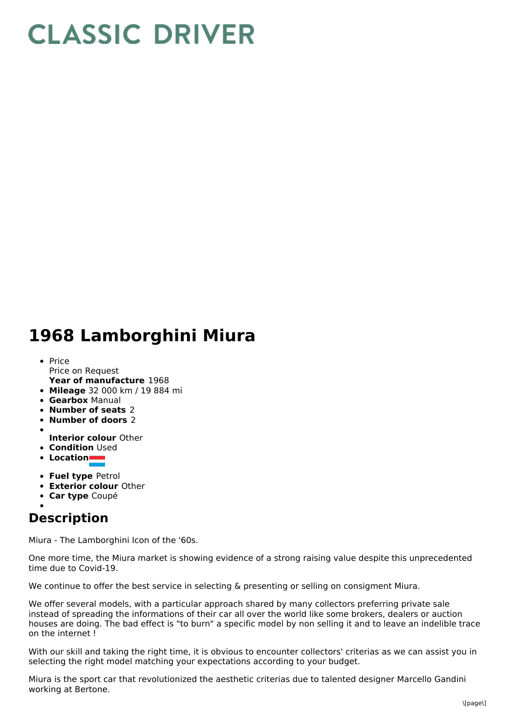## **CLASSIC DRIVER**

## **1968 Lamborghini Miura**

- **Year of manufacture** 1968 • Price Price on Request
- **Mileage** 32 000 km / 19 884 mi
- **Gearbox** Manual
- **Number of seats** 2
- **Number of doors** 2
- 
- **Interior colour** Other
- **Condition Used**
- **Location**
- **Fuel type** Petrol
- **Exterior colour** Other
- **Car type** Coupé

## **Description**

Miura - The Lamborghini Icon of the '60s.

One more time, the Miura market is showing evidence of a strong raising value despite this unprecedented time due to Covid-19.

We continue to offer the best service in selecting & presenting or selling on consigment Miura.

We offer several models, with a particular approach shared by many collectors preferring private sale instead of spreading the informations of their car all over the world like some brokers, dealers or auction houses are doing. The bad effect is "to burn" a specific model by non selling it and to leave an indelible trace on the internet !

With our skill and taking the right time, it is obvious to encounter collectors' criterias as we can assist you in selecting the right model matching your expectations according to your budget.

Miura is the sport car that revolutionized the aesthetic criterias due to talented designer Marcello Gandini working at Bertone.